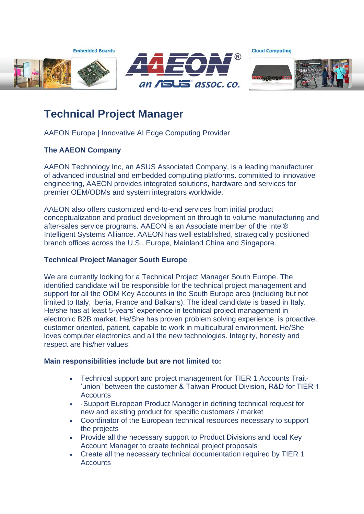**Embedded Boards** 





**Cloud Computing** 



# **Technical Project Manager**

AAEON Europe | Innovative AI Edge Computing Provider

## **The AAEON Company**

AAEON Technology Inc, an ASUS Associated Company, is a leading manufacturer of advanced industrial and embedded computing platforms. committed to innovative engineering, AAEON provides integrated solutions, hardware and services for premier OEM/ODMs and system integrators worldwide.

AAEON also offers customized end-to-end services from initial product conceptualization and product development on through to volume manufacturing and after-sales service programs. AAEON is an Associate member of the Intel® Intelligent Systems Alliance. AAEON has well established, strategically positioned branch offices across the U.S., Europe, Mainland China and Singapore.

### **Technical Project Manager South Europe**

We are currently looking for a Technical Project Manager South Europe. The identified candidate will be responsible for the technical project management and support for all the ODM Key Accounts in the South Europe area (including but not limited to Italy, Iberia, France and Balkans). The ideal candidate is based in Italy. He/she has at least 5-years' experience in technical project management in electronic B2B market. He/She has proven problem solving experience, is proactive, customer oriented, patient, capable to work in multicultural environment. He/She loves computer electronics and all the new technologies. Integrity, honesty and respect are his/her values.

### **Main responsibilities include but are not limited to:**

- Technical support and project management for TIER 1 Accounts Trait- 'union" between the customer & Taiwan Product Division, R&D for TIER 1 **Accounts**
- ·Support European Product Manager in defining technical request for new and existing product for specific customers / market
- Coordinator of the European technical resources necessary to support the projects
- Provide all the necessary support to Product Divisions and local Key Account Manager to create technical project proposals
- Create all the necessary technical documentation required by TIER 1 **Accounts**